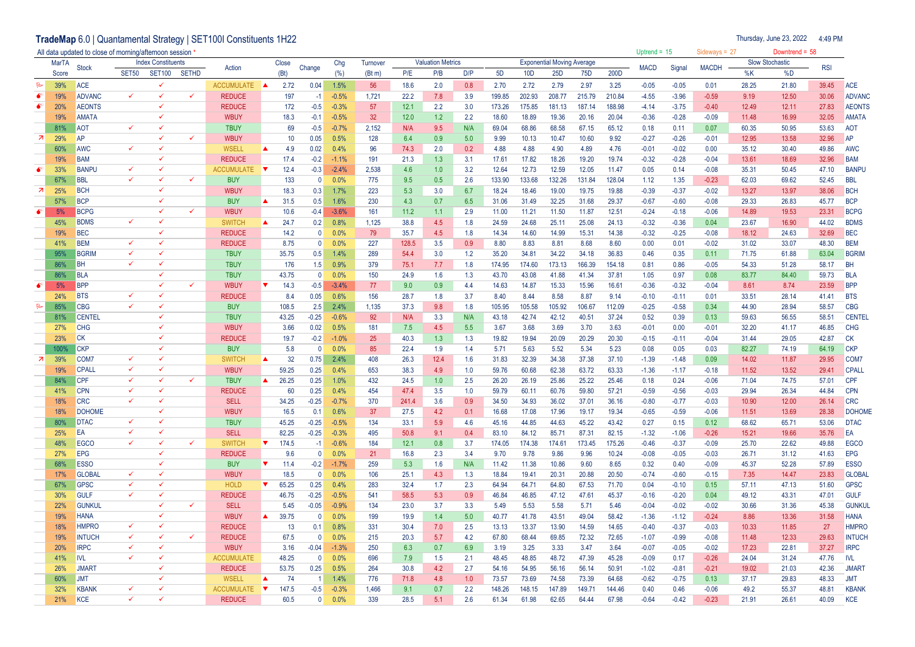TradeMap 6.0 | Quantamental Strategy | SET100I Constituents 1H22

Thursday, June 23, 2022

| All data updated to close of morning/afternoon session |              |                          |                           |                              |              |                     |                                  |                         |         |              |       |                          |                  |                                   |                 |                 |        |        | Uptrend = $15$ |                 | Sideways = $27$ |       | Downtrend = $58$       |            |                            |
|--------------------------------------------------------|--------------|--------------------------|---------------------------|------------------------------|--------------|---------------------|----------------------------------|-------------------------|---------|--------------|-------|--------------------------|------------------|-----------------------------------|-----------------|-----------------|--------|--------|----------------|-----------------|-----------------|-------|------------------------|------------|----------------------------|
|                                                        | <b>MarTA</b> |                          | <b>Index Constituents</b> |                              |              |                     | Close                            |                         | Chg     | Turnover     |       | <b>Valuation Metrics</b> |                  | <b>Exponential Moving Average</b> |                 |                 |        |        |                |                 |                 |       | <b>Slow Stochastic</b> |            |                            |
|                                                        | Score        | Stock                    | <b>SET50</b>              | <b>SET100</b>                | <b>SETHD</b> | Action              | (Bt)                             | Change                  | (% )    | (Bt m)       | P/E   | P/B                      | D/P              | 5D                                | 10 <sub>D</sub> | 25 <sub>D</sub> | 75D    | 200D   | <b>MACD</b>    | Signal          | <b>MACDH</b>    | %K    | %D                     | <b>RSI</b> |                            |
| ℞                                                      | 39%          | <b>ACE</b>               |                           | $\checkmark$                 |              | ACCUMULATE <b>A</b> | 2.72                             | 0.04                    | 1.5%    | 56           | 18.6  | 2.0                      | 0.8              | 2.70                              | 2.72            | 2.79            | 2.97   | 3.25   | $-0.05$        | $-0.05$         | 0.01            | 28.25 | 21.80                  | 39.45      | ACE                        |
| $\bullet$                                              | 19%          | <b>ADVANC</b>            |                           | $\checkmark$                 | $\checkmark$ | <b>REDUCE</b>       | 197                              | $-1$                    | $-0.5%$ | 1,721        | 22.2  | 7.8                      | 3.9              | 199.85                            | 202.93          | 208.77          | 215.79 | 210.84 | $-4.55$        | $-3.96$         | $-0.59$         | 9.19  | 12.50                  | 30.06      | <b>ADVANC</b>              |
|                                                        | 20%          | <b>AEONTS</b>            |                           | $\checkmark$                 |              | <b>REDUCE</b>       | 172                              | $-0.5$                  | $-0.3%$ | 57           | 12.1  | 2.2                      | 3.0              | 173.26                            | 175.85          | 181.13          | 187.14 | 188.98 | $-4.14$        | $-3.75$         | $-0.40$         | 12.49 | 12.11                  | 27.83      | <b>AEONTS</b>              |
|                                                        | 19%          | <b>AMATA</b>             |                           | $\checkmark$                 |              | <b>WBUY</b>         | 18.3                             | -0.1                    | $-0.5%$ | 32           | 12.0  | 1.2                      | 2.2              | 18.60                             | 18.89           | 19.36           | 20.16  | 20.04  | $-0.36$        | $-0.28$         | $-0.09$         | 11.48 | 16.99                  | 32.05      | <b>AMATA</b>               |
|                                                        | 81%          | AOT                      | $\checkmark$              |                              |              | <b>TBUY</b>         | 69                               | $-0.5$                  | $-0.7%$ | 2,152        | N/A   | 9.5                      | N/A              | 69.04                             | 68.86           | 68.58           | 67.15  | 65.12  | 0.18           |                 | 0.07            | 60.35 | 50.95                  | 53.63      | <b>AOT</b>                 |
| $\overline{z}$                                         | 29%          | AP                       |                           | $\checkmark$                 | $\checkmark$ | <b>WBUY</b>         | 10                               | 0.05                    | 0.5%    | 128          | 6.4   | 0.9                      | 5.0              | 9.99                              | 10.13           | 10.47           | 10.60  | 9.92   | $-0.27$        | 0.11<br>$-0.26$ | $-0.01$         | 12.95 | 13.58                  | 32.96      | AP                         |
|                                                        | 60%          | <b>AWC</b>               | ✓                         | $\checkmark$                 |              | <b>WSELL</b>        | 4.9                              | 0.02                    | 0.4%    | 96           | 74.3  | 2.0                      | 0.2              | 4.88                              | 4.88            | 4.90            | 4.89   | 4.76   | $-0.01$        | $-0.02$         | 0.00            | 35.12 | 30.40                  | 49.86      | <b>AWC</b>                 |
|                                                        |              | <b>BAM</b>               |                           | $\checkmark$                 |              |                     |                                  |                         |         |              |       |                          |                  |                                   |                 |                 |        |        |                |                 |                 |       |                        |            |                            |
|                                                        | 19%          |                          | $\checkmark$              | $\checkmark$                 |              | <b>REDUCE</b>       | 17.4<br>▼                        | $-0.2$                  | $-1.1%$ | 191<br>2,538 | 21.3  | 1.3                      | 3.1              | 17.61                             | 17.82           | 18.26           | 19.20  | 19.74  | $-0.32$        | $-0.28$         | $-0.04$         | 13.61 | 18.69                  | 32.96      | <b>BAM</b><br><b>BANPU</b> |
|                                                        | 33%          | <b>BANPU</b>             | ✓                         | $\checkmark$                 | $\checkmark$ | ACCUMULATE          | 12.4<br>133                      | $-0.3$                  | $-2.4%$ |              | 4.6   | 1.0                      | 3.2              | 12.64                             | 12.73           | 12.59           | 12.05  | 11.47  | 0.05           | 0.14            | $-0.08$         | 35.31 | 50.45                  | 47.10      |                            |
| ्त्र ।                                                 | 67%          | <b>BBL</b><br><b>BCH</b> |                           | $\checkmark$                 |              | <b>BUY</b>          |                                  | $\overline{\mathbf{0}}$ | 0.0%    | 775          | 9.5   | 0.5                      | 2.6              | 133.90                            | 133.68          | 132.26          | 131.84 | 128.04 | 1.12           | 1.35            | $-0.23$         | 62.03 | 69.62                  | 52.45      | <b>BBL</b>                 |
|                                                        | 25%          |                          |                           | $\checkmark$                 |              | <b>WBUY</b>         | 18.3                             | 0.3                     | 1.7%    | 223          | 5.3   | 3.0                      | 6.7              | 18.24                             | 18.46           | 19.00           | 19.75  | 19.88  | $-0.39$        | $-0.37$         | $-0.02$         | 13.27 | 13.97                  | 38.06      | <b>BCH</b>                 |
| $\bullet^*$                                            | 57%          | <b>BCP</b>               |                           | $\checkmark$                 | $\checkmark$ | <b>BUY</b>          | 31.5                             | 0.5                     | 1.6%    | 230          | 4.3   | 0.7                      | 6.5              | 31.06                             | 31.49           | 32.25           | 31.68  | 29.37  | $-0.67$        | $-0.60$         | $-0.08$         | 29.33 | 26.83                  | 45.77      | <b>BCP</b>                 |
|                                                        | 5%           | <b>BCPG</b>              | ✓                         |                              |              | <b>WBUY</b>         | 10.6                             | $-0.4$                  | $-3.6%$ | 161          | 11.2  | 1.1                      | 2.9              | 11.00                             | 11.21           | 11.50           | 11.87  | 12.51  | $-0.24$        | $-0.18$         | $-0.06$         | 14.89 | 19.53                  | 23.31      | <b>BCPG</b>                |
|                                                        | 45%          | <b>BDMS</b>              |                           |                              |              | <b>SWITCH</b>       | 24.7<br>$\blacktriangle$         | 0.2                     | 0.8%    | 1,125        | 38.8  | 4.5                      | 1.8              | 24.59                             | 24.68           | 25.11           | 25.08  | 24.13  | $-0.32$        | $-0.36$         | 0.04            | 23.67 | 16.90                  | 44.02      | <b>BDMS</b>                |
|                                                        | 19%          | <b>BEC</b>               | $\checkmark$              | $\checkmark$<br>$\checkmark$ |              | <b>REDUCE</b>       | 14.2                             | $\Omega$                | 0.0%    | 79           | 35.7  | 4.5                      | 1.8              | 14.34                             | 14.60           | 14.99           | 15.31  | 14.38  | $-0.32$        | $-0.25$         | $-0.08$         | 18.12 | 24.63                  | 32.69      | <b>BEC</b>                 |
|                                                        | 41%          | <b>BEM</b>               | $\checkmark$              |                              |              | <b>REDUCE</b>       | 8.75                             | $\mathbf{0}$            | 0.0%    | 227          | 128.5 | 3.5                      | 0.9              | 8.80                              | 8.83            | 8.81            | 8.68   | 8.60   | 0.00           | 0.01            | $-0.02$         | 31.02 | 33.07                  | 48.30      | <b>BEM</b>                 |
|                                                        | 95%          | <b>BGRIM</b>             |                           | $\checkmark$<br>$\checkmark$ |              | <b>TBUY</b>         | 35.75                            | 0.5                     | 1.4%    | 289          | 54.4  | 3.0                      | 1.2              | 35.20                             | 34.81           | 34.22           | 34.18  | 36.83  | 0.46           | 0.35            | 0.11            | 71.75 | 61.88                  | 63.04      | <b>BGRIM</b>               |
|                                                        | 86%          | <b>BH</b>                |                           |                              |              | <b>TBUY</b>         | 176                              | 1.5                     | 0.9%    | 379          | 75.1  | 7.7                      | 1.8              | 174.95                            | 174.60          | 173.13          | 166.39 | 154.18 | 0.81           | 0.86            | $-0.05$         | 54.33 | 51.28                  | 58.17      | <b>BH</b>                  |
|                                                        | 86%          | <b>BLA</b>               |                           |                              |              | <b>TBUY</b>         | 43.75                            | $\mathbf{0}$            | 0.0%    | 150          | 24.9  | 1.6                      | 1.3              | 43.70                             | 43.08           | 41.88           | 41.34  | 37.81  | 1.05           | 0.97            | 0.08            | 83.77 | 84.40                  | 59.73      | <b>BLA</b>                 |
| $\bullet$                                              | 5%           | <b>BPP</b>               |                           | $\checkmark$                 | $\checkmark$ | <b>WBUY</b>         | 14.3                             | $-0.5$                  | $-3.4%$ | 77           | 9.0   | 0.9                      | 4.4              | 14.63                             | 14.87           | 15.33           | 15.96  | 16.61  | $-0.36$        | $-0.32$         | $-0.04$         | 8.61  | 8.74                   | 23.59      | <b>BPP</b>                 |
|                                                        | 24%          | <b>BTS</b>               | $\checkmark$              | $\checkmark$                 |              | <b>REDUCE</b>       | 8.4                              | 0.05                    | 0.6%    | 156          | 28.7  | 1.8                      | 3.7              | 8.40                              | 8.44            | 8.58            | 8.87   | 9.14   | $-0.10$        | $-0.11$         | 0.01            | 33.51 | 28.14                  | 41.41      | <b>BTS</b>                 |
| $\triangleright$                                       | 85%          | <b>CBG</b>               | $\checkmark$              | $\checkmark$                 |              | <b>BUY</b>          | 108.5                            | 2.5                     | 2.4%    | 1,135        | 37.3  | 9.8                      | 1.8              | 105.95                            | 105.58          | 105.92          | 106.67 | 112.09 | $-0.25$        | $-0.58$         | 0.34            | 44.90 | 28.94                  | 58.57      | <b>CBG</b>                 |
|                                                        | 81%          | <b>CENTEL</b>            |                           | $\checkmark$                 |              | <b>TBUY</b>         | 43.25                            | $-0.25$                 | $-0.6%$ | 92           | N/A   | 3.3                      | N/A              | 43.18                             | 42.74           | 42.12           | 40.51  | 37.24  | 0.52           | 0.39            | 0.13            | 59.63 | 56.55                  | 58.51      | <b>CENTEL</b>              |
|                                                        | 27%          | <b>CHG</b>               |                           | $\checkmark$                 |              | <b>WBUY</b>         | 3.66                             | 0.02                    | 0.5%    | 181          | 7.5   | 4.5                      | 5.5              | 3.67                              | 3.68            | 3.69            | 3.70   | 3.63   | $-0.01$        | 0.00            | $-0.01$         | 32.20 | 41.17                  | 46.85      | <b>CHG</b>                 |
|                                                        | 23%          | <b>CK</b>                |                           | $\checkmark$                 |              | <b>REDUCE</b>       | 19.7                             | $-0.2$                  | $-1.0%$ | 25           | 40.3  | 1.3                      | 1.3              | 19.82                             | 19.94           | 20.09           | 20.29  | 20.30  | $-0.15$        | $-0.11$         | $-0.04$         | 31.44 | 29.05                  | 42.87      | <b>CK</b>                  |
|                                                        | 100%         | <b>CKP</b>               |                           | $\checkmark$                 |              | <b>BUY</b>          | 5.8                              | $\mathbf{0}$            | 0.0%    | 85           | 22.4  | 1.9                      | 1.4              | 5.71                              | 5.63            | 5.52            | 5.34   | 5.23   | 0.08           | 0.05            | 0.03            | 82.27 | 74.19                  | 64.19      | <b>CKP</b>                 |
| z                                                      | 39%          | COM <sub>7</sub>         | $\checkmark$              |                              |              | <b>SWITCH</b>       | 32                               | 0.75                    | 2.4%    | 408          | 26.3  | 12.4                     | 1.6              | 31.83                             | 32.39           | 34.38           | 37.38  | 37.10  | $-1.39$        | $-1.48$         | 0.09            | 14.02 | 11.87                  | 29.95      | COM7                       |
|                                                        | 19%          | <b>CPALL</b>             | $\checkmark$              | $\checkmark$                 |              | <b>WBUY</b>         | 59.25                            | 0.25                    | 0.4%    | 653          | 38.3  | 4.9                      | 1.0              | 59.76                             | 60.68           | 62.38           | 63.72  | 63.33  | $-1.36$        | $-1.17$         | $-0.18$         | 11.52 | 13.52                  | 29.41      | <b>CPALL</b>               |
|                                                        | 84%          | CPF                      | $\checkmark$              | $\checkmark$                 | $\checkmark$ | <b>TBUY</b>         | 26.25                            | 0.25                    | 1.0%    | 432          | 24.5  | 1.0                      | 2.5              | 26.20                             | 26.19           | 25.86           | 25.22  | 25.46  | 0.18           | 0.24            | $-0.06$         | 71.04 | 74.75                  | 57.01      | <b>CPF</b>                 |
|                                                        | 41%          | <b>CPN</b>               | $\checkmark$              | $\checkmark$                 |              | <b>REDUCE</b>       | 60                               | 0.25                    | 0.4%    | 454          | 47.4  | 3.5                      | 1.0              | 59.79                             | 60.11           | 60.76           | 59.80  | 57.21  | $-0.59$        | $-0.56$         | $-0.03$         | 29.94 | 26.34                  | 44.84      | <b>CPN</b>                 |
|                                                        | 18%          | <b>CRC</b>               | ✓                         | ✓                            |              | <b>SELL</b>         | 34.25                            | $-0.25$                 | $-0.7%$ | 370          | 241.4 | 3.6                      | 0.9              | 34.50                             | 34.93           | 36.02           | 37.01  | 36.16  | $-0.80$        | $-0.77$         | $-0.03$         | 10.90 | 12.00                  | 26.14      | <b>CRC</b>                 |
|                                                        | 18%          | <b>DOHOME</b>            |                           | $\checkmark$                 |              | <b>WBUY</b>         | 16.5                             | 0.1                     | 0.6%    | 37           | 27.5  | 4.2                      | 0.1              | 16.68                             | 17.08           | 17.96           | 19.17  | 19.34  | $-0.65$        | $-0.59$         | $-0.06$         | 11.51 | 13.69                  | 28.38      | <b>DOHOME</b>              |
|                                                        | 80%          | <b>DTAC</b>              | $\checkmark$              | ✓                            |              | <b>TBUY</b>         | 45.25                            | $-0.25$                 | $-0.5%$ | 134          | 33.1  | 5.9                      | 4.6              | 45.16                             | 44.85           | 44.63           | 45.22  | 43.42  | 0.27           | 0.15            | 0.12            | 68.62 | 65.71                  | 53.06      | <b>DTAC</b>                |
|                                                        | 25%          | EA                       | $\checkmark$              | $\checkmark$                 |              | <b>SELL</b>         | 82.25                            | $-0.25$                 | $-0.3%$ | 495          | 50.8  | 9.1                      | 0.4              | 83.10                             | 84.12           | 85.71           | 87.31  | 82.15  | $-1.32$        | $-1.06$         | $-0.26$         | 15.21 | 19.66                  | 35.76      | EA                         |
|                                                        | 48%          | <b>EGCC</b>              | $\checkmark$              | $\checkmark$                 | $\checkmark$ | <b>SWITCH</b>       | 174.5<br>$\blacktriangledown$    | $-1$                    | $-0.6%$ | 184          | 12.1  | 0.8                      | 3.7              | 174.05                            | 174.38          | 174.61          | 173.45 | 175.26 | $-0.46$        | $-0.37$         | $-0.09$         | 25.70 | 22.62                  | 49.88      | <b>EGCO</b>                |
|                                                        | 27%          | <b>EPG</b>               |                           | $\checkmark$                 |              | <b>REDUCE</b>       | 9.6                              | $\mathbf{0}$            | 0.0%    | 21           | 16.8  | 2.3                      | 3.4              | 9.70                              | 9.78            | 9.86            | 9.96   | 10.24  | $-0.08$        | $-0.05$         | $-0.03$         | 26.71 | 31.12                  | 41.63      | <b>EPG</b>                 |
|                                                        | 68%          | <b>ESSO</b>              |                           | $\checkmark$                 |              | <b>BUY</b>          | 11.4                             | $-0.2$                  | $-1.7%$ | 259          | 5.3   | 1.6                      | N/A              | 11.42                             | 11.38           | 10.86           | 9.60   | 8.65   | 0.32           | 0.40            | $-0.09$         | 45.37 | 52.28                  | 57.89      | <b>ESSO</b>                |
|                                                        | 17%          | <b>GLOBAL</b>            | $\checkmark$              |                              |              | <b>WBUY</b>         | 18.5                             | $\Omega$                | 0.0%    | 106          | 25.1  | 4.3                      | 1.3              | 18.84                             | 19.41           | 20.31           | 20.88  | 20.50  | $-0.74$        | $-0.60$         | $-0.15$         | 7.35  | 14.47                  | 23.83      | <b>GLOBAL</b>              |
|                                                        | 67%          | <b>GPSC</b>              | $\checkmark$              | $\checkmark$                 |              | <b>HOLD</b>         | 65.25                            | 0.25                    | 0.4%    | 283          | 32.4  | 1.7                      | 2.3              | 64.94                             | 64.71           | 64.80           | 67.53  | 71.70  | 0.04           | $-0.10$         | 0.15            | 57.11 | 47.13                  | 51.60      | <b>GPSC</b>                |
|                                                        | 30%          | <b>GULF</b>              | ✓                         | $\checkmark$                 |              | <b>REDUCE</b>       | 46.75                            | $-0.25$                 | $-0.5%$ | 541          | 58.5  | 5.3                      | 0.9              | 46.84                             | 46.85           | 47.12           | 47.61  | 45.37  | $-0.16$        | $-0.20$         | 0.04            | 49.12 | 43.31                  | 47.01      | <b>GULF</b>                |
|                                                        | 22%          | <b>GUNKUL</b>            |                           | $\checkmark$                 | ✓            | <b>SELL</b>         | 5.45                             | $-0.05$                 | $-0.9%$ | 134          | 23.0  | 3.7                      | 3.3              | 5.49                              | 5.53            | 5.58            | 5.71   | 5.46   | $-0.04$        | $-0.02$         | $-0.02$         | 30.66 | 31.36                  | 45.38      | <b>GUNKUI</b>              |
|                                                        | 19%          | <b>HANA</b>              |                           | $\checkmark$                 |              | <b>WBUY</b>         | 39.75                            | - 0                     | 0.0%    | 199          | 19.9  | 1.4                      | 5.0              | 40.77                             | 41.78           | 43.51           | 49.04  | 58.42  | $-1.36$        | $-1.12$         | $-0.24$         | 8.86  | 13.36                  | 31.58      | <b>HANA</b>                |
|                                                        | 18%          | <b>HMPRO</b>             | ✓                         | $\checkmark$                 |              | <b>REDUCE</b>       | 13                               | 0.1                     | 0.8%    | 331          | 30.4  | 7.0                      | 2.5              | 13.13                             | 13.37           | 13.90           | 14.59  | 14.65  | $-0.40$        | $-0.37$         | $-0.03$         | 10.33 | 11.85                  | 27         | <b>HMPRO</b>               |
|                                                        | 19%          | <b>INTUCH</b>            | $\checkmark$              | $\checkmark$                 | $\checkmark$ | <b>REDUCE</b>       | 67.5                             | $\mathbf 0$             | 0.0%    | 215          | 20.3  | 5.7                      | 4.2              | 67.80                             | 68.44           | 69.85           | 72.32  | 72.65  | $-1.07$        | $-0.99$         | $-0.08$         | 11.48 | 12.33                  | 29.63      | <b>INTUCH</b>              |
|                                                        | 20%          | <b>IRPC</b>              | ✓                         | $\checkmark$                 |              | <b>WBUY</b>         | 3.16                             | $-0.04$                 | $-1.3%$ | 250          | 6.3   | 0.7                      | 6.9              | 3.19                              | 3.25            | 3.33            | 3.47   | 3.64   | $-0.07$        | $-0.05$         | $-0.02$         | 17.23 | 22.81                  | 37.27      | <b>IRPC</b>                |
|                                                        | 41%          | IVL                      | $\checkmark$              | $\checkmark$                 |              | <b>ACCUMULATE</b>   | 48.25                            | $\mathbf{0}$            | 0.0%    | 696          | 7.9   | 1.5                      | 2.1              | 48.45                             | 48.85           | 48.72           | 47.39  | 45.28  | $-0.09$        | 0.17            | $-0.26$         | 24.04 | 31.24                  | 47.76      | <b>IVL</b>                 |
|                                                        | 26%          | <b>JMAR1</b>             |                           | $\checkmark$                 |              | <b>REDUCE</b>       | 53.75                            | 0.25                    | 0.5%    | 264          | 30.8  | 4.2                      | 2.7              | 54.16                             | 54.95           | 56.16           | 56.14  | 50.91  | $-1.02$        | $-0.81$         | $-0.21$         | 19.02 | 21.03                  | 42.36      | <b>JMART</b>               |
|                                                        | 60%          | <b>JMT</b>               |                           |                              |              | WSELL               | 74                               |                         | 1.4%    | 776          | 71.8  | 4.8                      | 1.0              | 73.57                             | 73.69           | 74.58           | 73.39  | 64.68  | $-0.62$        | $-0.75$         | 0.13            | 37.17 | 29.83                  | 48.33      | <b>JMT</b>                 |
|                                                        | 32%          | <b>KBANK</b>             | $\checkmark$              |                              |              | <b>ACCUMULATE</b>   | $\overline{\mathbf{v}}$<br>147.5 | $-0.5$                  | $-0.3%$ | 1,466        | 9.1   | 0.7                      | $2.2\phantom{0}$ | 148.26                            | 148.15          | 147.89          | 149.71 | 144.46 | 0.40           | 0.46            | $-0.06$         | 49.2  | 55.37                  | 48.81      | <b>KBANK</b>               |
|                                                        | 21%          | <b>KCE</b>               | J                         |                              |              | <b>REDUCE</b>       | 60.5                             | $\mathsf{O}$            | 0.0%    | 339          | 28.5  | 5.1                      | 2.6              | 61.34                             | 61.98           | 62.65           | 64.44  | 67.98  | $-0.64$        | $-0.42$         | $-0.23$         | 21.91 | 26.61                  | 40.09      | <b>KCE</b>                 |